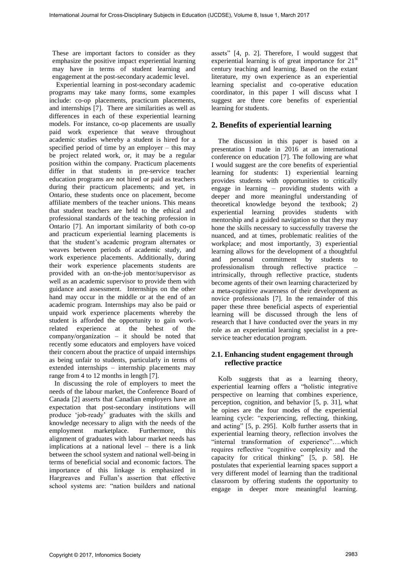These are important factors to consider as they emphasize the positive impact experiential learning may have in terms of student learning and engagement at the post-secondary academic level.

 Experiential learning in post-secondary academic programs may take many forms, some examples include: co-op placements, practicum placements, and internships [7]. There are similarities as well as differences in each of these experiential learning models. For instance, co-op placements are usually paid work experience that weave throughout academic studies whereby a student is hired for a specified period of time by an employer – this may be project related work, or, it may be a regular position within the company. Practicum placements differ in that students in pre-service teacher education programs are not hired or paid as teachers during their practicum placements; and yet, in Ontario, these students once on placement, become affiliate members of the teacher unions. This means that student teachers are held to the ethical and professional standards of the teaching profession in Ontario [7]. An important similarity of both co-op and practicum experiential learning placements is that the student's academic program alternates or weaves between periods of academic study, and work experience placements. Additionally, during their work experience placements students are provided with an on-the-job mentor/supervisor as well as an academic supervisor to provide them with guidance and assessment. Internships on the other hand may occur in the middle or at the end of an academic program. Internships may also be paid or unpaid work experience placements whereby the student is afforded the opportunity to gain workrelated experience at the behest of the company/organization – it should be noted that recently some educators and employers have voiced their concern about the practice of unpaid internships as being unfair to students, particularly in terms of extended internships – internship placements may range from 4 to 12 months in length [7]. For the cross-Disciplinary System internet JA23611 Veloca (i. March 2017)<br>
The computer density consider on the proposition (i.e. and the cross-Disciplinary Constraint Constraint Constraint Constraint Constraint Constrain

 In discussing the role of employers to meet the needs of the labour market, the Conference Board of Canada [2] asserts that Canadian employers have an expectation that post-secondary institutions will produce 'job-ready' graduates with the skills and knowledge necessary to align with the needs of the employment marketplace. Furthermore, this alignment of graduates with labour market needs has implications at a national level – there is a link between the school system and national well-being in terms of beneficial social and economic factors. The importance of this linkage is emphasized in Hargreaves and Fullan's assertion that effective school systems are: "nation builders and national assets" [4, p. 2]. Therefore, I would suggest that experiential learning is of great importance for  $21<sup>st</sup>$ century teaching and learning. Based on the extant literature, my own experience as an experiential learning specialist and co-operative education coordinator, in this paper I will discuss what I suggest are three core benefits of experiential learning for students.

### **2. Benefits of experiential learning**

 The discussion in this paper is based on a presentation I made in 2016 at an international conference on education [7]. The following are what I would suggest are the core benefits of experiential learning for students: 1) experiential learning provides students with opportunities to critically engage in learning – providing students with a deeper and more meaningful understanding of theoretical knowledge beyond the textbook; 2) experiential learning provides students with mentorship and a guided navigation so that they may hone the skills necessary to successfully traverse the nuanced, and at times, problematic realities of the workplace; and most importantly, 3) experiential learning allows for the development of a thoughtful and personal commitment by students to professionalism through reflective practice – intrinsically, through reflective practice, students become agents of their own learning characterized by a meta-cognitive awareness of their development as novice professionals [7]. In the remainder of this paper these three beneficial aspects of experiential learning will be discussed through the lens of research that I have conducted over the years in my role as an experiential learning specialist in a preservice teacher education program.

### **2.1. Enhancing student engagement through reflective practice**

 Kolb suggests that as a learning theory, experiential learning offers a "holistic integrative perspective on learning that combines experience, perception, cognition, and behavior [5, p. 31], what he opines are the four modes of the experiential learning cycle: "experiencing, reflecting, thinking, and acting" [5, p. 295]. Kolb further asserts that in experiential learning theory, reflection involves the "internal transformation of experience"….which requires reflective "cognitive complexity and the capacity for critical thinking" [5, p. 58]. He postulates that experiential learning spaces support a very different model of learning than the traditional classroom by offering students the opportunity to engage in deeper more meaningful learning.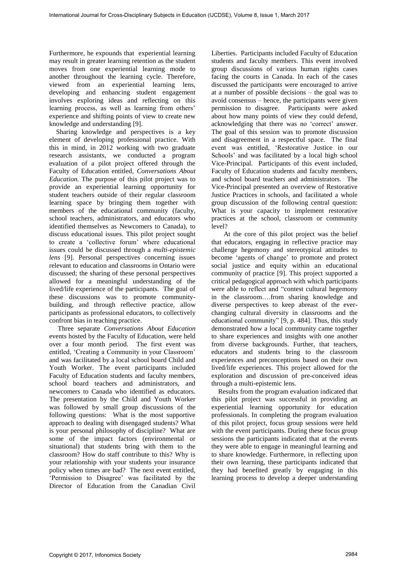Furthermore, he expounds that experiential learning may result in greater learning retention as the student moves from one experiential learning mode to another throughout the learning cycle. Therefore, viewed from an experiential learning lens, developing and enhancing student engagement involves exploring ideas and reflecting on this learning process, as well as learning from others' experience and shifting points of view to create new knowledge and understanding [9].

 Sharing knowledge and perspectives is a key element of developing professional practice. With this in mind, in 2012 working with two graduate research assistants, we conducted a program evaluation of a pilot project offered through the Faculty of Education entitled, *Conversations About Education.* The purpose of this pilot project was to provide an experiential learning opportunity for student teachers outside of their regular classroom learning space by bringing them together with members of the educational community (faculty, school teachers, administrators, and educators who identified themselves as Newcomers to Canada), to discuss educational issues. This pilot project sought to create a 'collective forum' where educational issues could be discussed through a *multi-epistemic lens* [9]. Personal perspectives concerning issues relevant to education and classrooms in Ontario were discussed; the sharing of these personal perspectives allowed for a meaningful understanding of the lived/life experience of the participants. The goal of these discussions was to promote communitybuilding, and through reflective practice, allow participants as professional educators, to collectively confront bias in teaching practice. For European Control Cross-Disciplinary Superion Linearce J1.2.3811. Volume 8, Issue 2, Infor Cross-Disciplinary Subjects in Equation 2, Infor Cross-Disciplinary Subjects in Equation 2, Infor Cross-Disciplinary Cross-Disc

 Three separate *Conversations About Education* events hosted by the Faculty of Education, were held over a four month period. The first event was entitled, 'Creating a Community in your Classroom' and was facilitated by a local school board Child and Youth Worker. The event participants included Faculty of Education students and faculty members, school board teachers and administrators, and newcomers to Canada who identified as educators. The presentation by the Child and Youth Worker was followed by small group discussions of the following questions: What is the most supportive approach to dealing with disengaged students? What is your personal philosophy of discipline? What are some of the impact factors (environmental or situational) that students bring with them to the classroom? How do staff contribute to this? Why is your relationship with your students your insurance policy when times are bad? The next event entitled, 'Permission to Disagree' was facilitated by the Director of Education from the Canadian Civil

Liberties. Participants included Faculty of Education students and faculty members. This event involved group discussions of various human rights cases facing the courts in Canada. In each of the cases discussed the participants were encouraged to arrive at a number of possible decisions – the goal was to avoid consensus – hence, the participants were given permission to disagree. Participants were asked about how many points of view they could defend, acknowledging that there was no 'correct' answer. The goal of this session was to promote discussion and disagreement in a respectful space. The final event was entitled, 'Restorative Justice in our Schools' and was facilitated by a local high school Vice-Principal. Participants of this event included, Faculty of Education students and faculty members, and school board teachers and administrators. The Vice-Principal presented an overview of Restorative Justice Practices in schools, and facilitated a whole group discussion of the following central question: What is your capacity to implement restorative practices at the school, classroom or community level?

At the core of this pilot project was the belief that educators, engaging in reflective practice may challenge hegemony and stereotypical attitudes to become 'agents of change' to promote and protect social justice and equity within an educational community of practice [9]. This project supported a critical pedagogical approach with which participants were able to reflect and "contest cultural hegemony in the classroom….from sharing knowledge and diverse perspectives to keep abreast of the everchanging cultural diversity in classrooms and the educational community" [9, p. 484]. Thus, this study demonstrated how a local community came together to share experiences and insights with one another from diverse backgrounds. Further, that teachers, educators and students bring to the classroom experiences and preconceptions based on their own lived/life experiences. This project allowed for the exploration and discussion of pre-conceived ideas through a multi-epistemic lens.

 Results from the program evaluation indicated that this pilot project was successful in providing an experiential learning opportunity for education professionals. In completing the program evaluation of this pilot project, focus group sessions were held with the event participants. During these focus group sessions the participants indicated that at the events they were able to engage in meaningful learning and to share knowledge. Furthermore, in reflecting upon their own learning, these participants indicated that they had benefited greatly by engaging in this learning process to develop a deeper understanding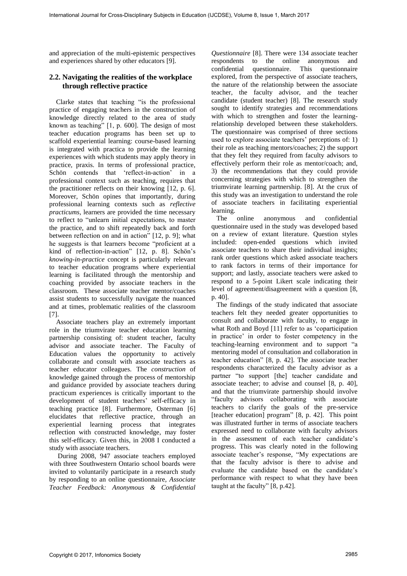and appreciation of the multi-epistemic perspectives and experiences shared by other educators [9].

### **2.2. Navigating the realities of the workplace through reflective practice**

 Clarke states that teaching "is the professional practice of engaging teachers in the construction of knowledge directly related to the area of study known as teaching" [1, p. 600]. The design of most teacher education programs has been set up to scaffold experiential learning: course-based learning is integrated with practica to provide the learning experiences with which students may apply theory in practice, praxis. In terms of professional practice, Schön contends that 'reflect-in-action' in a professional context such as teaching, requires that the practitioner reflects on their knowing [12, p. 6]. Moreover, Schön opines that importantly, during professional learning contexts such as *reflective practicums*, learners are provided the time necessary to reflect to "unlearn initial expectations, to master the practice, and to shift repeatedly back and forth between reflection on and in action" [12, p. 9]; what he suggests is that learners become "proficient at a kind of reflection-in-action" [12, p. 8]. Schön's *knowing-in-practice* concept is particularly relevant to teacher education programs where experiential learning is facilitated through the mentorship and coaching provided by associate teachers in the classroom. These associate teacher mentor/coaches assist students to successfully navigate the nuanced and at times, problematic realities of the classroom [7]. For Extenda Total Cross-Disputery Stephen Linearce Jud.2611. Velocity is the National Constitutional Journal For Cross-Disputery (III) The Cross-Disputery Cross-Disputery (III) The Cross-Disputery Cross-Disputery Cross-Di

 Associate teachers play an extremely important role in the triumvirate teacher education learning partnership consisting of: student teacher, faculty advisor and associate teacher. The Faculty of Education values the opportunity to actively collaborate and consult with associate teachers as teacher educator colleagues. The *construction* of knowledge gained through the process of mentorship and guidance provided by associate teachers during practicum experiences is critically important to the development of student teachers' self-efficacy in teaching practice [8]. Furthermore, Osterman [6] elucidates that reflective practice, through an experiential learning process that integrates reflection with constructed knowledge, may foster this self-efficacy. Given this, in 2008 I conducted a study with associate teachers.

 During 2008, 947 associate teachers employed with three Southwestern Ontario school boards were invited to voluntarily participate in a research study by responding to an online questionnaire, *Associate Teacher Feedback: Anonymous & Confidential* 

*Questionnaire* [8]. There were 134 associate teacher respondents to the online anonymous and confidential questionnaire. This questionnaire explored, from the perspective of associate teachers, the nature of the relationship between the associate teacher, the faculty advisor, and the teacher candidate (student teacher) [8]. The research study sought to identify strategies and recommendations with which to strengthen and foster the learningrelationship developed between these stakeholders. The questionnaire was comprised of three sections used to explore associate teachers' perceptions of: 1) their role as teaching mentors/coaches; 2) the support that they felt they required from faculty advisors to effectively perform their role as mentor/coach; and, 3) the recommendations that they could provide concerning strategies with which to strengthen the triumvirate learning partnership. [8]. At the crux of this study was an investigation to understand the role of associate teachers in facilitating experiential learning.

 The online anonymous and confidential questionnaire used in the study was developed based on a review of extant literature. Question styles included: open-ended questions which invited associate teachers to share their individual insights; rank order questions which asked associate teachers to rank factors in terms of their importance for support; and lastly, associate teachers were asked to respond to a 5-point Likert scale indicating their level of agreement/disagreement with a question [8, p. 40].

 The findings of the study indicated that associate teachers felt they needed greater opportunities to consult and collaborate with faculty, to engage in what Roth and Boyd [11] refer to as 'coparticipation in practice' in order to foster competency in the teaching-learning environment and to support "a mentoring model of consultation and collaboration in teacher education" [8, p. 42]. The associate teacher respondents characterized the faculty advisor as a partner "to support [the] teacher candidate and associate teacher; to advise and counsel [8, p. 40], and that the triumvirate partnership should involve "faculty advisors collaborating with associate teachers to clarify the goals of the pre-service [teacher education] program" [8, p. 42]. This point was illustrated further in terms of associate teachers expressed need to collaborate with faculty advisors in the assessment of each teacher candidate's progress. This was clearly noted in the following associate teacher's response, "My expectations are that the faculty advisor is there to advise and evaluate the candidate based on the candidate's performance with respect to what they have been taught at the faculty" [8, p.42].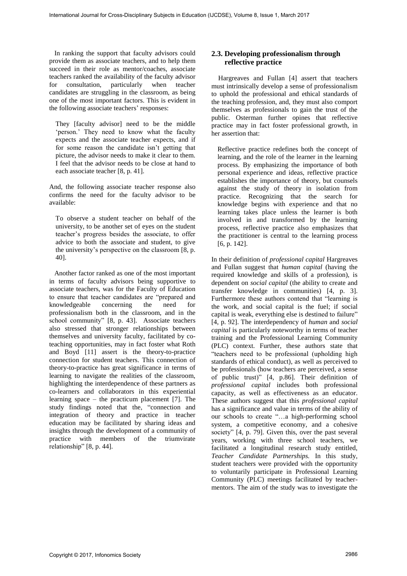In ranking the support that faculty advisors could provide them as associate teachers, and to help them succeed in their role as mentor/coaches, associate teachers ranked the availability of the faculty advisor for consultation, particularly when teacher candidates are struggling in the classroom, as being one of the most important factors. This is evident in the following associate teachers' responses:

They [faculty advisor] need to be the middle 'person.' They need to know what the faculty expects and the associate teacher expects, and if for some reason the candidate isn't getting that picture, the advisor needs to make it clear to them. I feel that the advisor needs to be close at hand to each associate teacher [8, p. 41].

And, the following associate teacher response also confirms the need for the faculty advisor to be available:

To observe a student teacher on behalf of the university, to be another set of eyes on the student teacher's progress besides the associate, to offer advice to both the associate and student, to give the university's perspective on the classroom [8, p. 40].

 Another factor ranked as one of the most important in terms of faculty advisors being supportive to associate teachers, was for the Faculty of Education to ensure that teacher candidates are "prepared and knowledgeable concerning the need for professionalism both in the classroom, and in the school community" [8, p. 43]. Associate teachers also stressed that stronger relationships between themselves and university faculty, facilitated by coteaching opportunities, may in fact foster what Roth and Boyd [11] assert is the theory-to-practice connection for student teachers. This connection of theory-to-practice has great significance in terms of learning to navigate the realities of the classroom, highlighting the interdependence of these partners as co-learners and collaborators in this experiential learning space – the practicum placement [7]. The study findings noted that the, "connection and integration of theory and practice in teacher education may be facilitated by sharing ideas and insights through the development of a community of practice with members of the triumvirate relationship" [8, p. 44].

### **2.3. Developing professionalism through reflective practice**

 Hargreaves and Fullan [4] assert that teachers must intrinsically develop a sense of professionalism to uphold the professional and ethical standards of the teaching profession, and, they must also comport themselves as professionals to gain the trust of the public. Osterman further opines that reflective practice may in fact foster professional growth, in her assertion that:

Reflective practice redefines both the concept of learning, and the role of the learner in the learning process. By emphasizing the importance of both personal experience and ideas, reflective practice establishes the importance of theory, but counsels against the study of theory in isolation from practice. Recognizing that the search for knowledge begins with experience and that no learning takes place unless the learner is both involved in and transformed by the learning process, reflective practice also emphasizes that the practitioner is central to the learning process [6, p. 142].

In their definition of *professional capital* Hargreaves and Fullan suggest that *human capital* (having the required knowledge and skills of a profession), is dependent on *social capital* (the ability to create and transfer knowledge in communities) [4, p. 3]. Furthermore these authors contend that "learning is the work, and social capital is the fuel; if social capital is weak, everything else is destined to failure" [4, p. 92]. The interdependency of *human* and *social capital* is particularly noteworthy in terms of teacher training and the Professional Learning Community (PLC) context. Further, these authors state that "teachers need to be professional (upholding high standards of ethical conduct), as well as perceived to be professionals (how teachers are perceived, a sense of public trust)" [4, p.86]. Their definition of *professional capital* includes both professional capacity, as well as effectiveness as an educator. These authors suggest that this *professional capital*  has a significance and value in terms of the ability of our schools to create "…a high-performing school system, a competitive economy, and a cohesive society" [4, p. 79]. Given this, over the past several years, working with three school teachers, we facilitated a longitudinal research study entitled, *Teacher Candidate Partnerships.* In this study, student teachers were provided with the opportunity to voluntarily participate in Professional Learning Community (PLC) meetings facilitated by teachermentors. The aim of the study was to investigate the For the state of the cross-of the cross-Disciplinary Subjects in Cross-Disciplinary The Cross-Disciplinary Cross-Disciplinary The Cross-Disciplinary Cross-Disciplinary Cross-Disciplinary (ICR) (ICR) (ICR) (ICR) (ICR) (ICR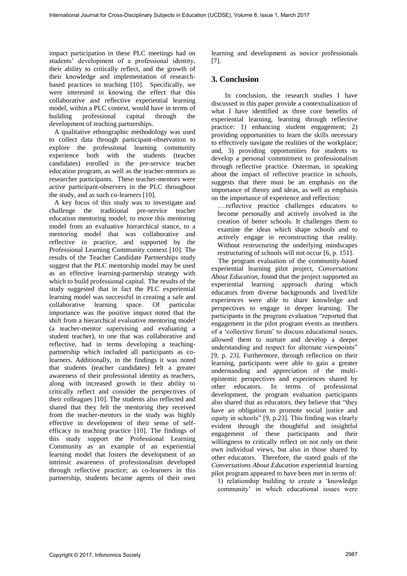impact participation in these PLC meetings had on students' development of a professional identity, their ability to critically reflect, and the growth of their knowledge and implementation of researchbased practices in teaching [10]. Specifically, we were interested in knowing the effect that this collaborative and reflective experiential learning model, within a PLC context, would have in terms of<br>building professional capital through the professional development of teaching partnerships.

 A qualitative ethnographic methodology was used to collect data through participant-observation to explore the professional learning community experience both with the students (teacher candidates) enrolled in the pre-service teacher education program, as well as the teacher-mentors as researcher participants. These teacher-mentors were active participant-observers in the PLC throughout the study, and as such co-learners [10].

 A key focus of this study was to investigate and challenge the traditional pre-service teacher education mentoring model; to move this mentoring model from an evaluative hierarchical stance, to a mentoring model that was collaborative and reflective in practice, and supported by the Professional Learning Community context [10]. The results of the Teacher Candidate Partnerships study suggest that the PLC mentorship model may be used as an effective learning-partnership strategy with which to build professional capital. The results of the study suggested that in fact the PLC experiential learning model was successful in creating a safe and collaborative learning space. Of particular importance was the positive impact noted that the shift from a hierarchical evaluative mentoring model (a teacher-mentor supervising and evaluating a student teacher), to one that was collaborative and reflective, had in terms developing a teachingpartnership which included all participants as colearners. Additionally, in the findings it was noted that students (teacher candidates) felt a greater awareness of their professional identity as teachers, along with increased growth in their ability to critically reflect and consider the perspectives of their colleagues [10]. The students also reflected and shared that they felt the mentoring they received from the teacher-mentors in the study was highly effective in development of their sense of selfefficacy in teaching practice [10]. The findings of this study support the Professional Learning Community as an example of an experiential learning model that fosters the development of an intrinsic awareness of professionalism developed through reflective practice; as co-learners in this partnership, students became agents of their own For the state of the state of the state of the state of the state of the state of the state of the state of the state of the state of the state of the state of the state of the state of the state of the state of the state

learning and development as novice professionals [7].

## **3. Conclusion**

 In conclusion, the research studies I have discussed in this paper provide a contextualization of what I have identified as three core benefits of experiential learning, learning through reflective practice: 1) enhancing student engagement; 2) providing opportunities to learn the skills necessary to effectively navigate the realities of the workplace; and, 3) providing opportunities for students to develop a personal commitment to professionalism through reflective practice. Osterman, in speaking about the impact of reflective practice in schools, suggests that there must be an emphasis on the importance of theory and ideas, as well as emphasis on the importance of experience and reflection:

….reflective practice challenges educators to become personally and actively involved in the creation of better schools. It challenges them to examine the ideas which shape schools and to actively engage in reconstructing that reality. Without restructuring the underlying mindscapes restructuring of schools will not occur [6, p. 151].

 The program evaluation of the community-based experiential learning pilot project, *Conversations About Education*, found that the project supported an experiential learning approach during which educators from diverse backgrounds and lived/life experiences were able to share knowledge and perspectives to engage in deeper learning. The participants in the program evaluation "reported that engagement in the pilot program events as members of a 'collective forum' to discuss educational issues, allowed them to nurture and develop a deeper understanding and respect for alternate viewpoints" [9, p. 23]. Furthermore, through reflection on their learning, participants were able to gain a greater understanding and appreciation of the multiepistemic perspectives and experiences shared by other educators. In terms of professional development, the program evaluation participants also shared that as educators, they believe that "they have an obligation to promote social justice and equity in schools" [9, p.23]. This finding was clearly evident through the thoughtful and insightful engagement of these participants and their willingness to critically reflect on not only on their own individual views, but also in those shared by other educators. Therefore, the stated goals of the *Conversations About Education* experiential learning pilot program appeared to have been met in terms of:

1) relationship building to create a 'knowledge community' in which educational issues were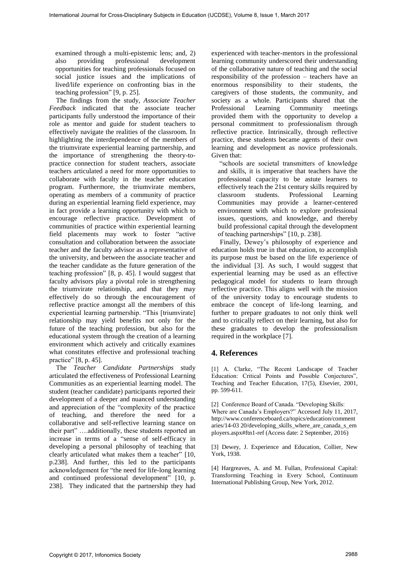examined through a multi-epistemic lens; and, 2) also providing professional development opportunities for teaching professionals focused on social justice issues and the implications of lived/life experience on confronting bias in the teaching profession" [9, p. 25].

 The findings from the study, *Associate Teacher Feedback* indicated that the associate teacher participants fully understood the importance of their role as mentor and guide for student teachers to effectively navigate the realities of the classroom. In highlighting the interdependence of the members of the triumvirate experiential learning partnership, and the importance of strengthening the theory-topractice connection for student teachers, associate teachers articulated a need for more opportunities to collaborate with faculty in the teacher education program. Furthermore, the triumvirate members, operating as members of a community of practice during an experiential learning field experience, may in fact provide a learning opportunity with which to encourage reflective practice. Development of communities of practice within experiential learning field placements may work to foster "active consultation and collaboration between the associate teacher and the faculty advisor as a representative of the university, and between the associate teacher and the teacher candidate as the future generation of the teaching profession" [8, p. 45]. I would suggest that faculty advisors play a pivotal role in strengthening the triumvirate relationship, and that they may effectively do so through the encouragement of reflective practice amongst all the members of this experiential learning partnership. "This [triumvirate] relationship may yield benefits not only for the future of the teaching profession, but also for the educational system through the creation of a learning environment which actively and critically examines what constitutes effective and professional teaching practice" [8, p. 45]. For the matrix of the control of the cross-Disciplinary of Cross-Disciplinary Constant Cross-Disciplinary Constant Cross-Disciplinary Constant Cross-Disciplinary Constant Cross-Disciplinary Constant Cross-Disciplinary Con

 The *Teacher Candidate Partnerships* study articulated the effectiveness of Professional Learning Communities as an experiential learning model. The student (teacher candidate) participants reported their development of a deeper and nuanced understanding and appreciation of the "complexity of the practice of teaching, and therefore the need for a collaborative and self-reflective learning stance on their part" ….additionally, these students reported an increase in terms of a "sense of self-efficacy in developing a personal philosophy of teaching that clearly articulated what makes them a teacher" [10, p.238]. And further, this led to the participants acknowledgement for "the need for life-long learning and continued professional development" [10, p. 238]. They indicated that the partnership they had

experienced with teacher-mentors in the professional learning community underscored their understanding of the collaborative nature of teaching and the social responsibility of the profession – teachers have an enormous responsibility to their students, the caregivers of those students, the community, and society as a whole. Participants shared that the Professional Learning Community meetings Community meetings provided them with the opportunity to develop a personal commitment to professionalism through reflective practice. Intrinsically, through reflective practice, these students became agents of their own learning and development as novice professionals. Given that:

"schools are societal transmitters of knowledge and skills, it is imperative that teachers have the professional capacity to be astute learners to effectively teach the 21st century skills required by classroom students. Professional Learning Communities may provide a learner-centered environment with which to explore professional issues, questions, and knowledge, and thereby build professional capital through the development of teaching partnerships" [10, p. 238].

 Finally, Dewey's philosophy of experience and education holds true in that education, to accomplish its purpose must be based on the life experience of the individual [3]. As such, I would suggest that experiential learning may be used as an effective pedagogical model for students to learn through reflective practice. This aligns well with the mission of the university today to encourage students to embrace the concept of life-long learning, and further to prepare graduates to not only think well and to critically reflect on their learning, but also for these graduates to develop the professionalism required in the workplace [7].

# **4. References**

[1] A. Clarke, "The Recent Landscape of Teacher Education: Critical Points and Possible Conjectures", Teaching and Teacher Education, 17(5), Elsevier, 2001, pp. 599-611.

[2] Conference Board of Canada. "Developing Skills: Where are Canada's Employers?" Accessed July 11, 2017, http://www.conferenceboard.ca/topics/education/comment aries/14-03 20/developing\_skills\_where\_are\_canada\_s\_em ployers.aspx#ftn1-ref (Access date: 2 September, 2016)

[3] Dewey, J. Experience and Education, Collier, New York, 1938.

[4] Hargreaves, A. and M. Fullan, Professional Capital: Transforming Teaching in Every School, Continuum International Publishing Group, New York, 2012.